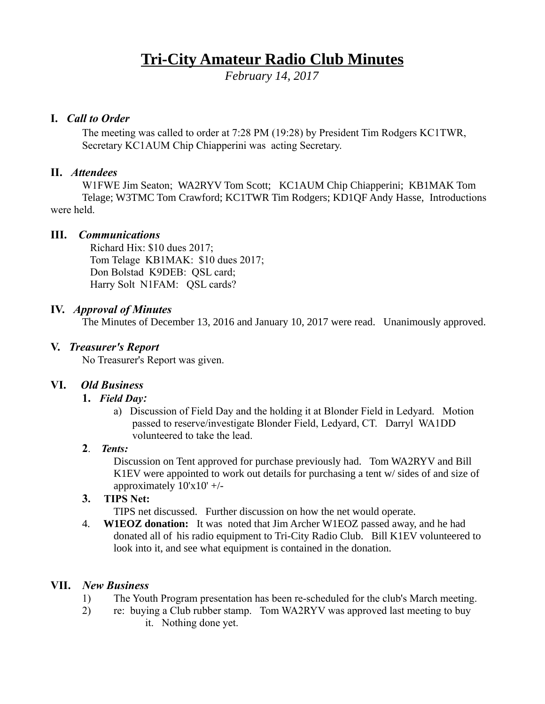# **Tri-City Amateur Radio Club Minutes**

*February 14, 2017*

#### **I.** *Call to Order*

The meeting was called to order at 7:28 PM (19:28) by President Tim Rodgers KC1TWR, Secretary KC1AUM Chip Chiapperini was acting Secretary.

### **II.** *Attendees*

W1FWE Jim Seaton; WA2RYV Tom Scott; KC1AUM Chip Chiapperini; KB1MAK Tom Telage; W3TMC Tom Crawford; KC1TWR Tim Rodgers; KD1QF Andy Hasse, Introductions were held.

#### **III.** *Communications*

 Richard Hix: \$10 dues 2017; Tom Telage KB1MAK: \$10 dues 2017; Don Bolstad K9DEB: QSL card; Harry Solt N1FAM: QSL cards?

## **IV.** *Approval of Minutes*

The Minutes of December 13, 2016 and January 10, 2017 were read. Unanimously approved.

# **V.** *Treasurer's Report*

No Treasurer's Report was given.

# **VI.** *Old Business*

#### **1.** *Field Day:*

a) Discussion of Field Day and the holding it at Blonder Field in Ledyard. Motion passed to reserve/investigate Blonder Field, Ledyard, CT. Darryl WA1DD volunteered to take the lead.

#### **2**. *Tents:*

Discussion on Tent approved for purchase previously had. Tom WA2RYV and Bill K1EV were appointed to work out details for purchasing a tent w/ sides of and size of approximately 10'x10' +/-

#### **3. TIPS Net:**

TIPS net discussed. Further discussion on how the net would operate.

4. **W1EOZ donation:** It was noted that Jim Archer W1EOZ passed away, and he had donated all of his radio equipment to Tri-City Radio Club. Bill K1EV volunteered to look into it, and see what equipment is contained in the donation.

#### **VII.** *New Business*

- 1) The Youth Program presentation has been re-scheduled for the club's March meeting.
- 2) re: buying a Club rubber stamp. Tom WA2RYV was approved last meeting to buy it. Nothing done yet.